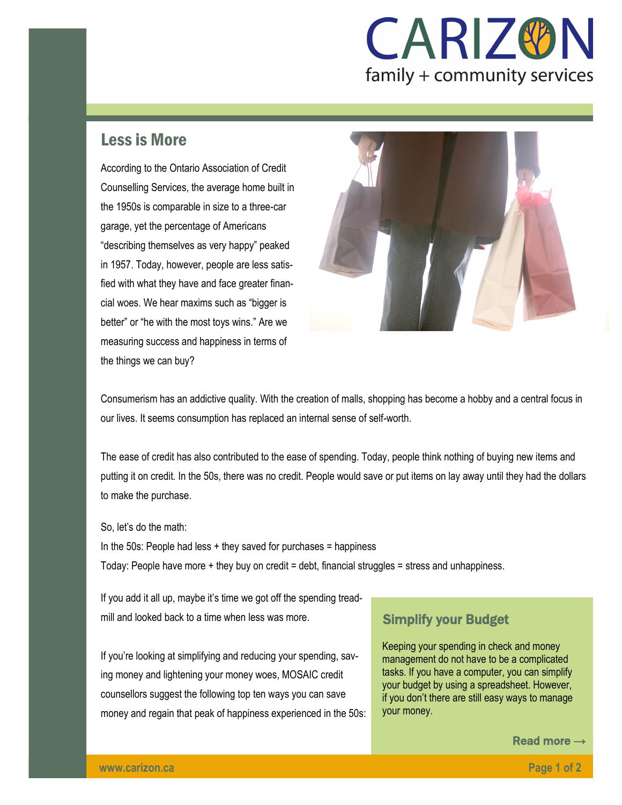## **CARIZ®N** family + community services

## Less is More

According to the Ontario Association of Credit Counselling Services, the average home built in the 1950s is comparable in size to a three-car garage, yet the percentage of Americans "describing themselves as very happy" peaked in 1957. Today, however, people are less satisfied with what they have and face greater financial woes. We hear maxims such as "bigger is better" or "he with the most toys wins." Are we measuring success and happiness in terms of the things we can buy?



Consumerism has an addictive quality. With the creation of malls, shopping has become a hobby and a central focus in our lives. It seems consumption has replaced an internal sense of self-worth.

The ease of credit has also contributed to the ease of spending. Today, people think nothing of buying new items and putting it on credit. In the 50s, there was no credit. People would save or put items on lay away until they had the dollars to make the purchase.

So, let's do the math:

In the 50s: People had less  $+$  they saved for purchases  $=$  happiness Today: People have more + they buy on credit = debt, financial struggles = stress and unhappiness.

If you add it all up, maybe it's time we got off the spending treadmill and looked back to a time when less was more.

If you're looking at simplifying and reducing your spending, saving money and lightening your money woes, MOSAIC credit counsellors suggest the following top ten ways you can save money and regain that peak of happiness experienced in the 50s:

## Simplify your Budget

Keeping your spending in check and money management do not have to be a complicated tasks. If you have a computer, you can simplify your budget by using a spreadsheet. However, if you don't there are still easy ways to manage your money.

Read more →